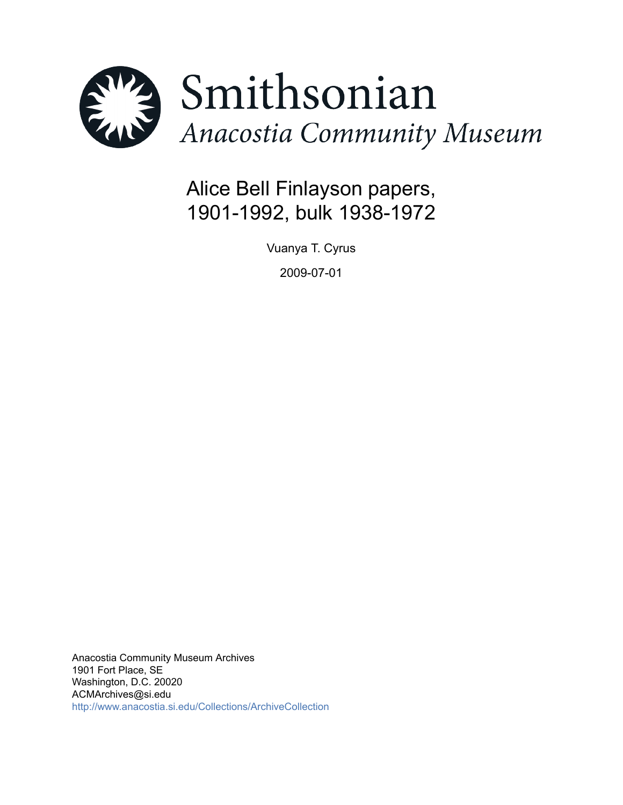

# Alice Bell Finlayson papers, 1901-1992, bulk 1938-1972

Vuanya T. Cyrus

2009-07-01

Anacostia Community Museum Archives 1901 Fort Place, SE Washington, D.C. 20020 ACMArchives@si.edu <http://www.anacostia.si.edu/Collections/ArchiveCollection>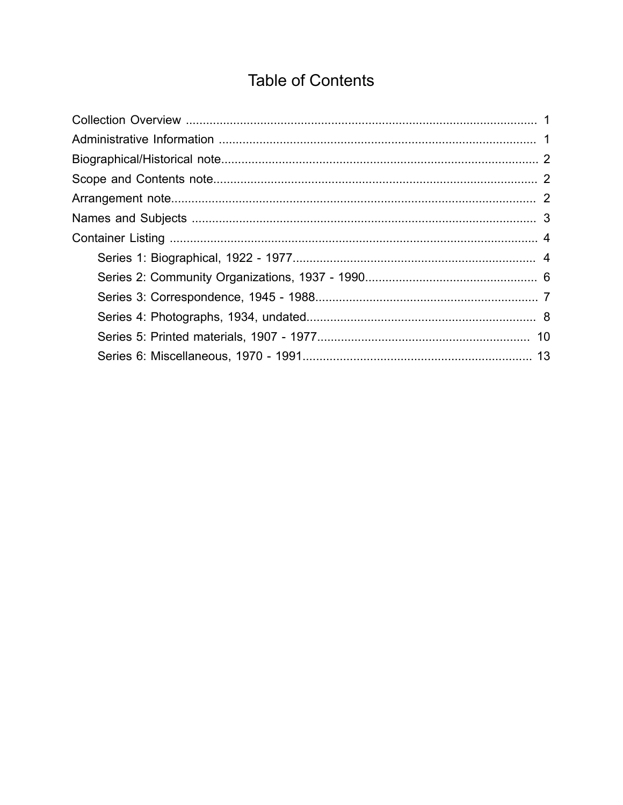# **Table of Contents**

<span id="page-1-0"></span>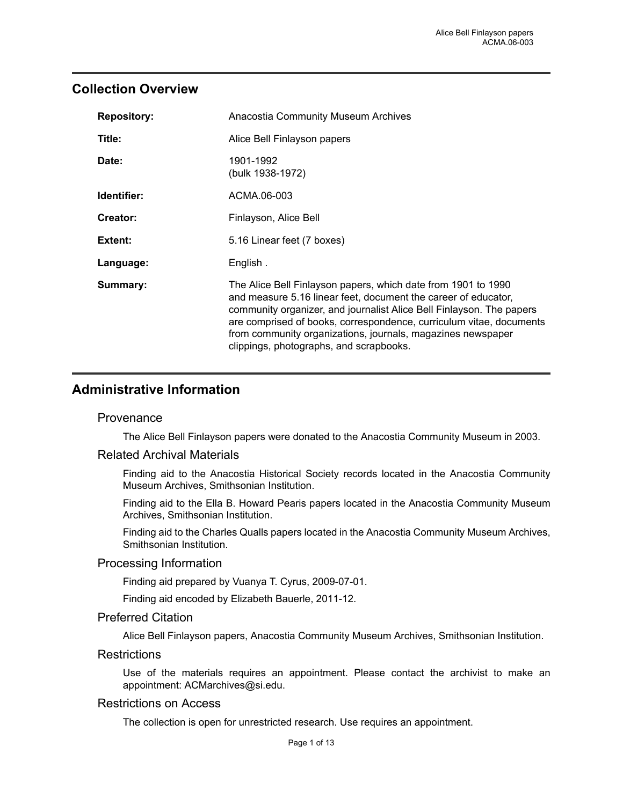### <span id="page-2-0"></span>**Collection Overview**

| <b>Repository:</b> | <b>Anacostia Community Museum Archives</b>                                                                                                                                                                                                                                                                                                                                               |
|--------------------|------------------------------------------------------------------------------------------------------------------------------------------------------------------------------------------------------------------------------------------------------------------------------------------------------------------------------------------------------------------------------------------|
| Title:             | Alice Bell Finlayson papers                                                                                                                                                                                                                                                                                                                                                              |
| Date:              | 1901-1992<br>(bulk 1938-1972)                                                                                                                                                                                                                                                                                                                                                            |
| Identifier:        | ACMA.06-003                                                                                                                                                                                                                                                                                                                                                                              |
| Creator:           | Finlayson, Alice Bell                                                                                                                                                                                                                                                                                                                                                                    |
| Extent:            | 5.16 Linear feet (7 boxes)                                                                                                                                                                                                                                                                                                                                                               |
| Language:          | English.                                                                                                                                                                                                                                                                                                                                                                                 |
| Summary:           | The Alice Bell Finlayson papers, which date from 1901 to 1990<br>and measure 5.16 linear feet, document the career of educator,<br>community organizer, and journalist Alice Bell Finlayson. The papers<br>are comprised of books, correspondence, curriculum vitae, documents<br>from community organizations, journals, magazines newspaper<br>clippings, photographs, and scrapbooks. |

## <span id="page-2-1"></span>**Administrative Information**

#### **Provenance**

The Alice Bell Finlayson papers were donated to the Anacostia Community Museum in 2003.

#### Related Archival Materials

Finding aid to the Anacostia Historical Society records located in the Anacostia Community Museum Archives, Smithsonian Institution.

Finding aid to the Ella B. Howard Pearis papers located in the Anacostia Community Museum Archives, Smithsonian Institution.

Finding aid to the Charles Qualls papers located in the Anacostia Community Museum Archives, Smithsonian Institution.

#### Processing Information

Finding aid prepared by Vuanya T. Cyrus, 2009-07-01.

Finding aid encoded by Elizabeth Bauerle, 2011-12.

#### Preferred Citation

Alice Bell Finlayson papers, Anacostia Community Museum Archives, Smithsonian Institution.

#### **Restrictions**

Use of the materials requires an appointment. Please contact the archivist to make an appointment: ACMarchives@si.edu.

#### Restrictions on Access

The collection is open for unrestricted research. Use requires an appointment.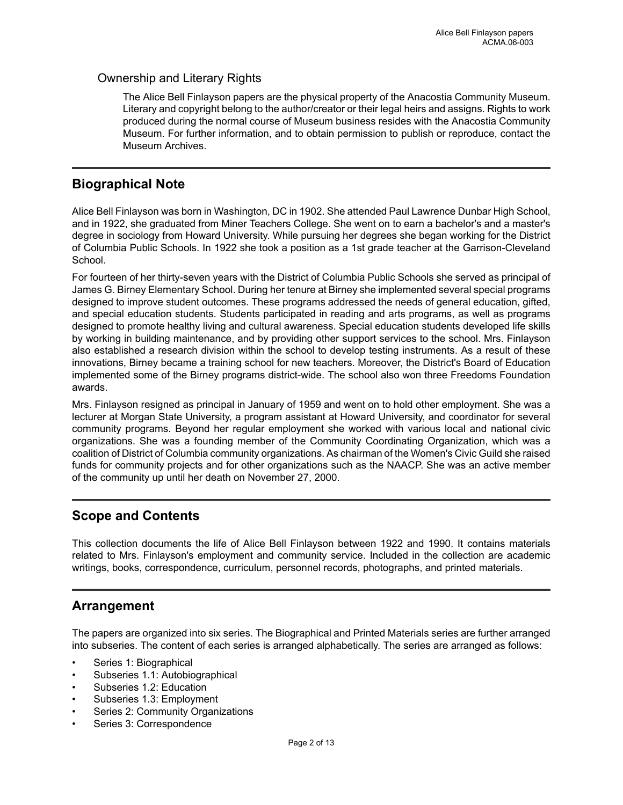#### Ownership and Literary Rights

The Alice Bell Finlayson papers are the physical property of the Anacostia Community Museum. Literary and copyright belong to the author/creator or their legal heirs and assigns. Rights to work produced during the normal course of Museum business resides with the Anacostia Community Museum. For further information, and to obtain permission to publish or reproduce, contact the Museum Archives.

### <span id="page-3-0"></span>**Biographical Note**

Alice Bell Finlayson was born in Washington, DC in 1902. She attended Paul Lawrence Dunbar High School, and in 1922, she graduated from Miner Teachers College. She went on to earn a bachelor's and a master's degree in sociology from Howard University. While pursuing her degrees she began working for the District of Columbia Public Schools. In 1922 she took a position as a 1st grade teacher at the Garrison-Cleveland School.

For fourteen of her thirty-seven years with the District of Columbia Public Schools she served as principal of James G. Birney Elementary School. During her tenure at Birney she implemented several special programs designed to improve student outcomes. These programs addressed the needs of general education, gifted, and special education students. Students participated in reading and arts programs, as well as programs designed to promote healthy living and cultural awareness. Special education students developed life skills by working in building maintenance, and by providing other support services to the school. Mrs. Finlayson also established a research division within the school to develop testing instruments. As a result of these innovations, Birney became a training school for new teachers. Moreover, the District's Board of Education implemented some of the Birney programs district-wide. The school also won three Freedoms Foundation awards.

Mrs. Finlayson resigned as principal in January of 1959 and went on to hold other employment. She was a lecturer at Morgan State University, a program assistant at Howard University, and coordinator for several community programs. Beyond her regular employment she worked with various local and national civic organizations. She was a founding member of the Community Coordinating Organization, which was a coalition of District of Columbia community organizations. As chairman of the Women's Civic Guild she raised funds for community projects and for other organizations such as the NAACP. She was an active member of the community up until her death on November 27, 2000.

## <span id="page-3-1"></span>**Scope and Contents**

This collection documents the life of Alice Bell Finlayson between 1922 and 1990. It contains materials related to Mrs. Finlayson's employment and community service. Included in the collection are academic writings, books, correspondence, curriculum, personnel records, photographs, and printed materials.

## <span id="page-3-2"></span>**Arrangement**

The papers are organized into six series. The Biographical and Printed Materials series are further arranged into subseries. The content of each series is arranged alphabetically. The series are arranged as follows:

- Series 1: Biographical
- Subseries 1.1: Autobiographical
- Subseries 1.2: Education
- Subseries 1.3: Employment
- Series 2: Community Organizations
- Series 3: Correspondence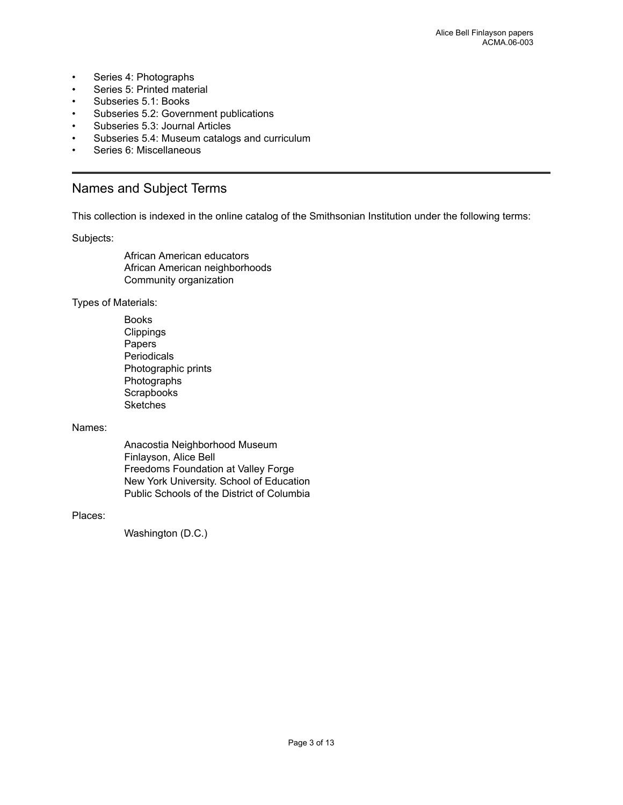- Series 4: Photographs
- Series 5: Printed material
- Subseries 5.1: Books
- Subseries 5.2: Government publications
- Subseries 5.3: Journal Articles
- Subseries 5.4: Museum catalogs and curriculum
- Series 6: Miscellaneous

### <span id="page-4-0"></span>Names and Subject Terms

This collection is indexed in the online catalog of the Smithsonian Institution under the following terms:

Subjects:

African American educators African American neighborhoods Community organization

Types of Materials:

Books **Clippings** Papers **Periodicals** Photographic prints Photographs **Scrapbooks Sketches** 

#### Names:

Anacostia Neighborhood Museum Finlayson, Alice Bell Freedoms Foundation at Valley Forge New York University. School of Education Public Schools of the District of Columbia

#### Places:

Washington (D.C.)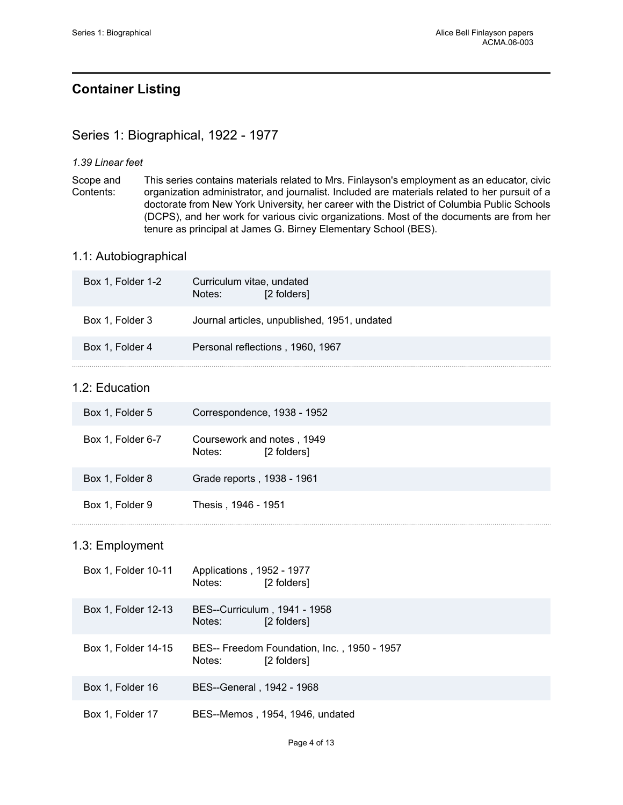## <span id="page-5-0"></span>**Container Listing**

## <span id="page-5-1"></span>Series 1: Biographical, 1922 - 1977

#### *1.39 Linear feet*

Scope and Contents: This series contains materials related to Mrs. Finlayson's employment as an educator, civic organization administrator, and journalist. Included are materials related to her pursuit of a doctorate from New York University, her career with the District of Columbia Public Schools (DCPS), and her work for various civic organizations. Most of the documents are from her tenure as principal at James G. Birney Elementary School (BES).

#### 1.1: Autobiographical

| Box 1, Folder 1-2 | Curriculum vitae, undated<br>Notes: | [2 folders]                                  |
|-------------------|-------------------------------------|----------------------------------------------|
| Box 1, Folder 3   |                                     | Journal articles, unpublished, 1951, undated |
| Box 1, Folder 4   |                                     | Personal reflections, 1960, 1967             |
|                   |                                     |                                              |

### 1.2: Education

| Box 1, Folder 5   | Correspondence, 1938 - 1952                         |
|-------------------|-----------------------------------------------------|
| Box 1, Folder 6-7 | Coursework and notes, 1949<br>[2 folders]<br>Notes: |
| Box 1, Folder 8   | Grade reports, 1938 - 1961                          |
| Box 1, Folder 9   | Thesis, 1946 - 1951                                 |

#### 1.3: Employment

| Box 1, Folder 10-11 | Applications, 1952 - 1977<br>Notes: | [2 folders]                                                |
|---------------------|-------------------------------------|------------------------------------------------------------|
| Box 1, Folder 12-13 | Notes:                              | BES--Curriculum, 1941 - 1958<br>[2 folders]                |
| Box 1, Folder 14-15 | Notes:                              | BES-- Freedom Foundation, Inc., 1950 - 1957<br>[2 folders] |
| Box 1, Folder 16    | BES--General, 1942 - 1968           |                                                            |
| Box 1, Folder 17    |                                     | BES--Memos, 1954, 1946, undated                            |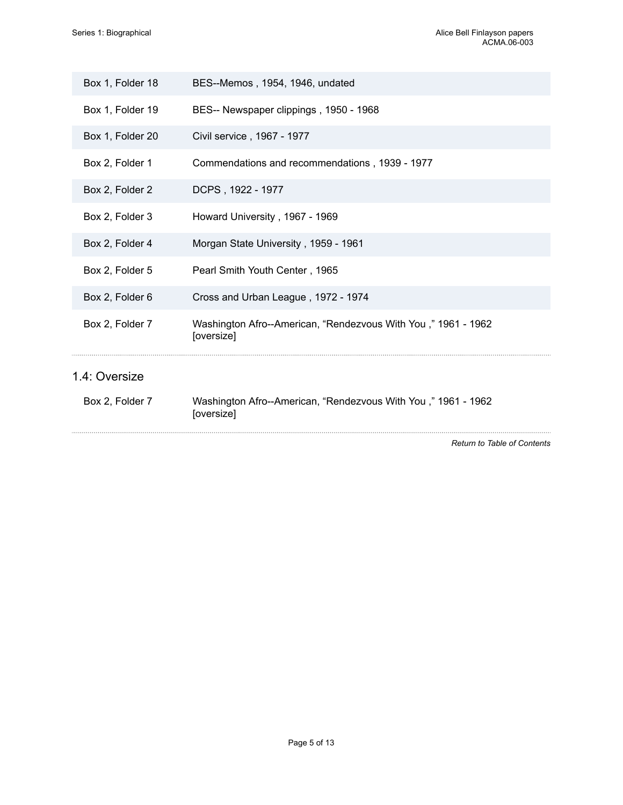| Box 1, Folder 18 | BES--Memos, 1954, 1946, undated                                             |
|------------------|-----------------------------------------------------------------------------|
| Box 1, Folder 19 | BES-- Newspaper clippings, 1950 - 1968                                      |
| Box 1, Folder 20 | Civil service, 1967 - 1977                                                  |
| Box 2, Folder 1  | Commendations and recommendations, 1939 - 1977                              |
| Box 2, Folder 2  | DCPS, 1922 - 1977                                                           |
| Box 2, Folder 3  | Howard University, 1967 - 1969                                              |
| Box 2, Folder 4  | Morgan State University, 1959 - 1961                                        |
| Box 2, Folder 5  | Pearl Smith Youth Center, 1965                                              |
| Box 2, Folder 6  | Cross and Urban League, 1972 - 1974                                         |
| Box 2, Folder 7  | Washington Afro--American, "Rendezvous With You," 1961 - 1962<br>[oversize] |
| 1.4: Oversize    |                                                                             |
| Box 2, Folder 7  | Washington Afro--American, "Rendezvous With You," 1961 - 1962<br>[oversize] |
|                  | Return to Table of Contents                                                 |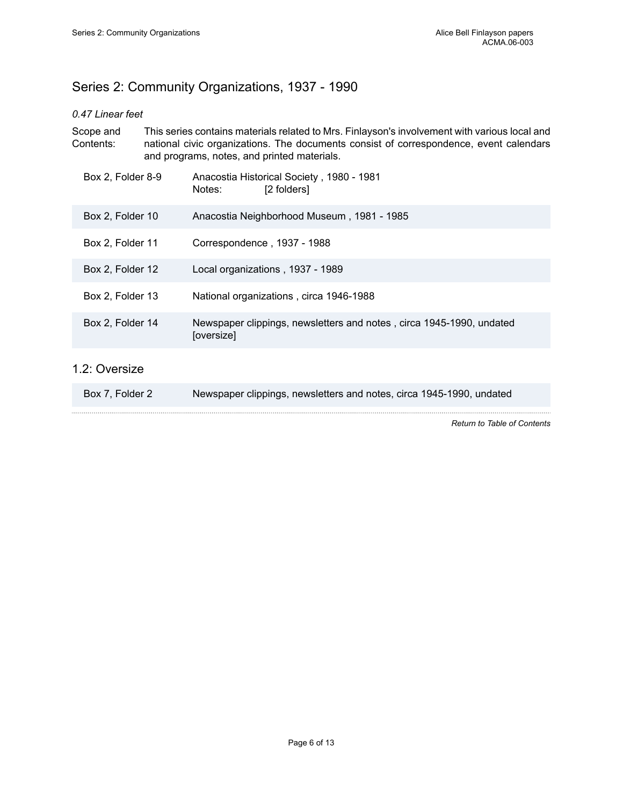## <span id="page-7-0"></span>Series 2: Community Organizations, 1937 - 1990

#### *0.47 Linear feet*

| Scope and<br>Contents: | This series contains materials related to Mrs. Finlayson's involvement with various local and<br>national civic organizations. The documents consist of correspondence, event calendars<br>and programs, notes, and printed materials. |
|------------------------|----------------------------------------------------------------------------------------------------------------------------------------------------------------------------------------------------------------------------------------|
| Box 2, Folder 8-9      | Anacostia Historical Society, 1980 - 1981<br>[2 folders]<br>Notes:                                                                                                                                                                     |
| Box 2, Folder 10       | Anacostia Neighborhood Museum, 1981 - 1985                                                                                                                                                                                             |
| Box 2, Folder 11       | Correspondence, 1937 - 1988                                                                                                                                                                                                            |
| Box 2, Folder 12       | Local organizations, 1937 - 1989                                                                                                                                                                                                       |
| Box 2, Folder 13       | National organizations, circa 1946-1988                                                                                                                                                                                                |
| Box 2, Folder 14       | Newspaper clippings, newsletters and notes, circa 1945-1990, undated<br>[oversize]                                                                                                                                                     |
| 1.2: Oversize          |                                                                                                                                                                                                                                        |

| Box 7, Folder 2 |  |  | Newspaper clippings, newsletters and notes, circa 1945-1990, undated |
|-----------------|--|--|----------------------------------------------------------------------|
|-----------------|--|--|----------------------------------------------------------------------|

*Return to Table of [Contents](#page-1-0)*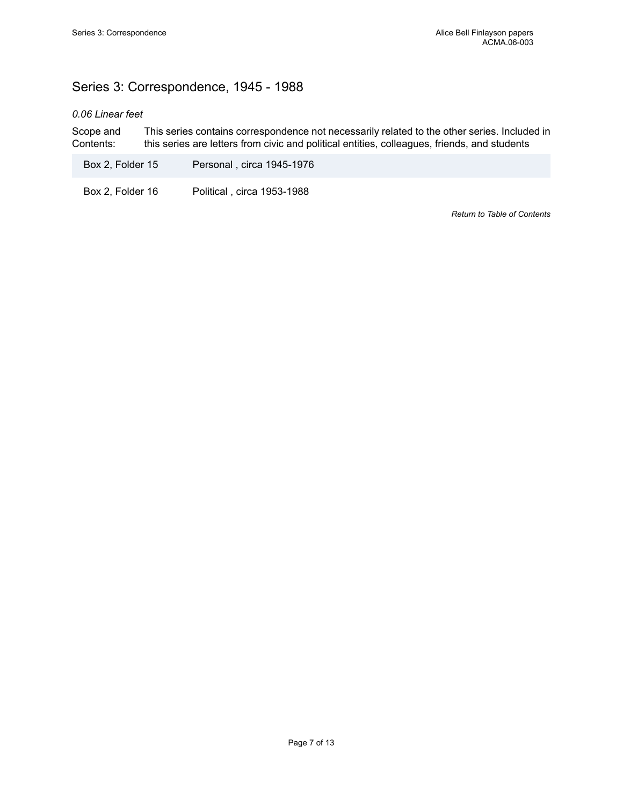## <span id="page-8-0"></span>Series 3: Correspondence, 1945 - 1988

#### *0.06 Linear feet*

Scope and Contents: This series contains correspondence not necessarily related to the other series. Included in this series are letters from civic and political entities, colleagues, friends, and students

Box 2, Folder 15 Personal , circa 1945-1976

Box 2, Folder 16 Political, circa 1953-1988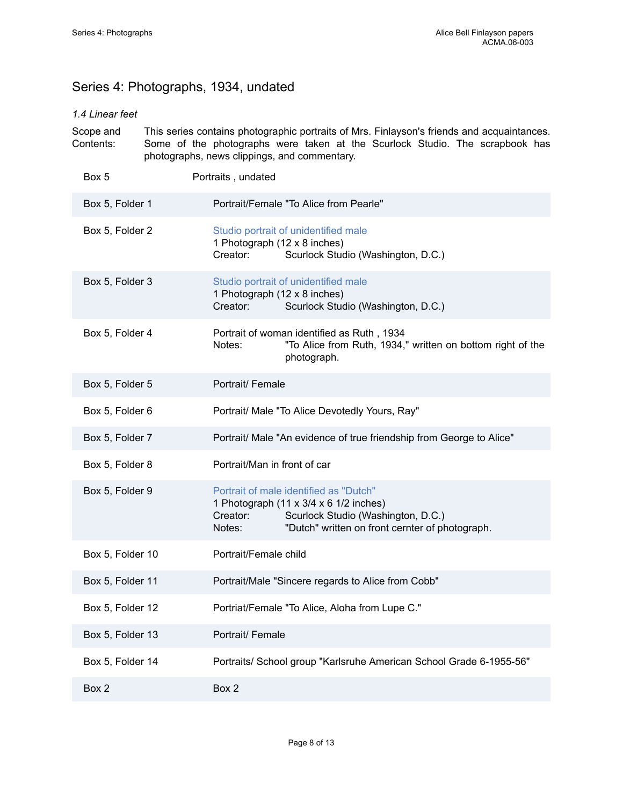## <span id="page-9-0"></span>Series 4: Photographs, 1934, undated

#### *1.4 Linear feet*

| Scope and<br>Contents: | This series contains photographic portraits of Mrs. Finlayson's friends and acquaintances.<br>Some of the photographs were taken at the Scurlock Studio. The scrapbook has<br>photographs, news clippings, and commentary. |  |
|------------------------|----------------------------------------------------------------------------------------------------------------------------------------------------------------------------------------------------------------------------|--|
| Box 5                  | Portraits, undated                                                                                                                                                                                                         |  |
| Box 5, Folder 1        | Portrait/Female "To Alice from Pearle"                                                                                                                                                                                     |  |
| Box 5, Folder 2        | Studio portrait of unidentified male<br>1 Photograph (12 x 8 inches)<br>Creator:<br>Scurlock Studio (Washington, D.C.)                                                                                                     |  |
| Box 5, Folder 3        | Studio portrait of unidentified male<br>1 Photograph (12 x 8 inches)<br>Scurlock Studio (Washington, D.C.)<br>Creator:                                                                                                     |  |
| Box 5, Folder 4        | Portrait of woman identified as Ruth, 1934<br>"To Alice from Ruth, 1934," written on bottom right of the<br>Notes:<br>photograph.                                                                                          |  |
| Box 5, Folder 5        | Portrait/ Female                                                                                                                                                                                                           |  |
| Box 5, Folder 6        | Portrait/ Male "To Alice Devotedly Yours, Ray"                                                                                                                                                                             |  |
| Box 5, Folder 7        | Portrait/ Male "An evidence of true friendship from George to Alice"                                                                                                                                                       |  |
| Box 5, Folder 8        | Portrait/Man in front of car                                                                                                                                                                                               |  |
| Box 5, Folder 9        | Portrait of male identified as "Dutch"<br>1 Photograph (11 x 3/4 x 6 1/2 inches)<br>Creator:<br>Scurlock Studio (Washington, D.C.)<br>"Dutch" written on front cernter of photograph.<br>Notes:                            |  |
| Box 5, Folder 10       | Portrait/Female child                                                                                                                                                                                                      |  |
| Box 5, Folder 11       | Portrait/Male "Sincere regards to Alice from Cobb"                                                                                                                                                                         |  |
| Box 5, Folder 12       | Portriat/Female "To Alice, Aloha from Lupe C."                                                                                                                                                                             |  |
| Box 5, Folder 13       | Portrait/ Female                                                                                                                                                                                                           |  |
| Box 5, Folder 14       | Portraits/ School group "Karlsruhe American School Grade 6-1955-56"                                                                                                                                                        |  |
| Box 2                  | Box 2                                                                                                                                                                                                                      |  |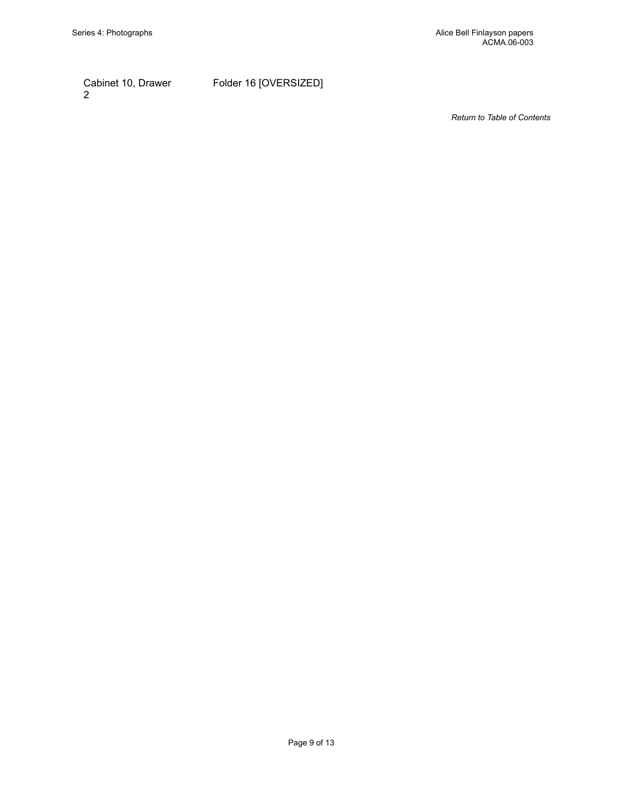Cabinet 10, Drawer 2

Folder 16 [OVERSIZED]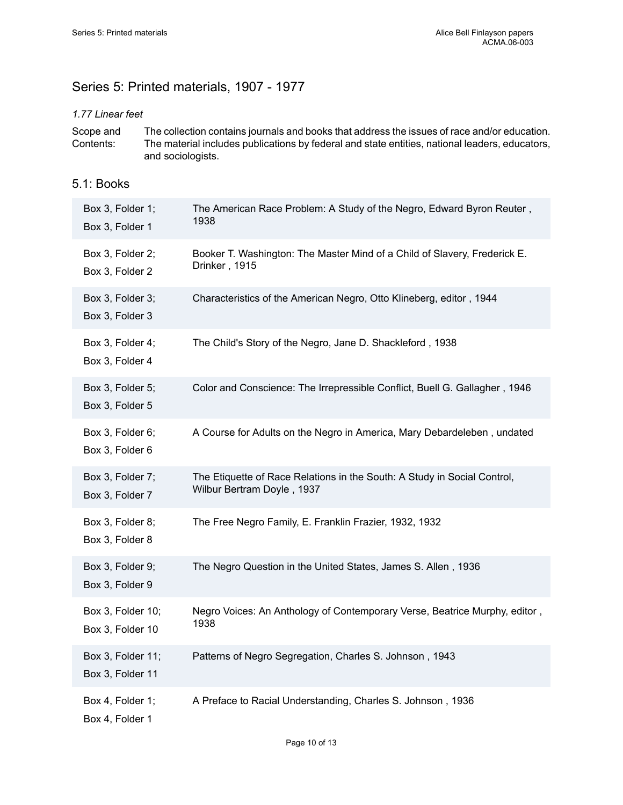## <span id="page-11-0"></span>Series 5: Printed materials, 1907 - 1977

#### *1.77 Linear feet*

Scope and Contents: The collection contains journals and books that address the issues of race and/or education. The material includes publications by federal and state entities, national leaders, educators, and sociologists.

#### 5.1: Books

| Box 3, Folder 1;<br>Box 3, Folder 1   | The American Race Problem: A Study of the Negro, Edward Byron Reuter,<br>1938                          |
|---------------------------------------|--------------------------------------------------------------------------------------------------------|
| Box 3, Folder 2;<br>Box 3, Folder 2   | Booker T. Washington: The Master Mind of a Child of Slavery, Frederick E.<br>Drinker, 1915             |
| Box 3, Folder 3;<br>Box 3, Folder 3   | Characteristics of the American Negro, Otto Klineberg, editor, 1944                                    |
| Box 3, Folder 4;<br>Box 3, Folder 4   | The Child's Story of the Negro, Jane D. Shackleford, 1938                                              |
| Box 3, Folder 5;<br>Box 3, Folder 5   | Color and Conscience: The Irrepressible Conflict, Buell G. Gallagher, 1946                             |
| Box 3, Folder 6;<br>Box 3, Folder 6   | A Course for Adults on the Negro in America, Mary Debardeleben, undated                                |
| Box 3, Folder 7;<br>Box 3, Folder 7   | The Etiquette of Race Relations in the South: A Study in Social Control,<br>Wilbur Bertram Doyle, 1937 |
| Box 3, Folder 8;<br>Box 3, Folder 8   | The Free Negro Family, E. Franklin Frazier, 1932, 1932                                                 |
| Box 3, Folder 9;<br>Box 3, Folder 9   | The Negro Question in the United States, James S. Allen, 1936                                          |
| Box 3, Folder 10;<br>Box 3, Folder 10 | Negro Voices: An Anthology of Contemporary Verse, Beatrice Murphy, editor,<br>1938                     |
| Box 3, Folder 11;<br>Box 3, Folder 11 | Patterns of Negro Segregation, Charles S. Johnson, 1943                                                |
| Box 4, Folder 1;<br>Box 4, Folder 1   | A Preface to Racial Understanding, Charles S. Johnson, 1936                                            |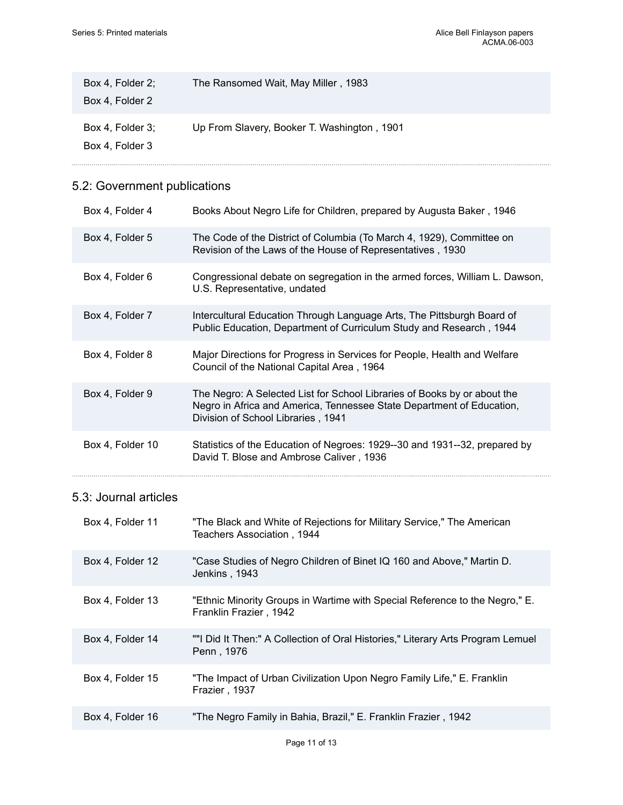| Box 4, Folder 2;<br>Box 4, Folder 2 | The Ransomed Wait, May Miller, 1983         |
|-------------------------------------|---------------------------------------------|
| Box 4, Folder 3:<br>Box 4, Folder 3 | Up From Slavery, Booker T. Washington, 1901 |

## 5.2: Government publications

| Box 4, Folder 4       | Books About Negro Life for Children, prepared by Augusta Baker, 1946                                                                                                                    |
|-----------------------|-----------------------------------------------------------------------------------------------------------------------------------------------------------------------------------------|
| Box 4, Folder 5       | The Code of the District of Columbia (To March 4, 1929), Committee on<br>Revision of the Laws of the House of Representatives, 1930                                                     |
| Box 4, Folder 6       | Congressional debate on segregation in the armed forces, William L. Dawson,<br>U.S. Representative, undated                                                                             |
| Box 4, Folder 7       | Intercultural Education Through Language Arts, The Pittsburgh Board of<br>Public Education, Department of Curriculum Study and Research, 1944                                           |
| Box 4, Folder 8       | Major Directions for Progress in Services for People, Health and Welfare<br>Council of the National Capital Area, 1964                                                                  |
| Box 4, Folder 9       | The Negro: A Selected List for School Libraries of Books by or about the<br>Negro in Africa and America, Tennessee State Department of Education,<br>Division of School Libraries, 1941 |
| Box 4, Folder 10      | Statistics of the Education of Negroes: 1929--30 and 1931--32, prepared by<br>David T. Blose and Ambrose Caliver, 1936                                                                  |
| 5.3: Journal articles |                                                                                                                                                                                         |

| Box 4, Folder 11 | "The Black and White of Rejections for Military Service," The American<br>Teachers Association, 1944  |
|------------------|-------------------------------------------------------------------------------------------------------|
| Box 4, Folder 12 | "Case Studies of Negro Children of Binet IQ 160 and Above," Martin D.<br>Jenkins, 1943                |
| Box 4, Folder 13 | "Ethnic Minority Groups in Wartime with Special Reference to the Negro," E.<br>Franklin Frazier, 1942 |
| Box 4, Folder 14 | ""I Did It Then:" A Collection of Oral Histories," Literary Arts Program Lemuel<br>Penn, 1976         |
| Box 4, Folder 15 | "The Impact of Urban Civilization Upon Negro Family Life," E. Franklin<br>Frazier, 1937               |
| Box 4, Folder 16 | "The Negro Family in Bahia, Brazil," E. Franklin Frazier, 1942                                        |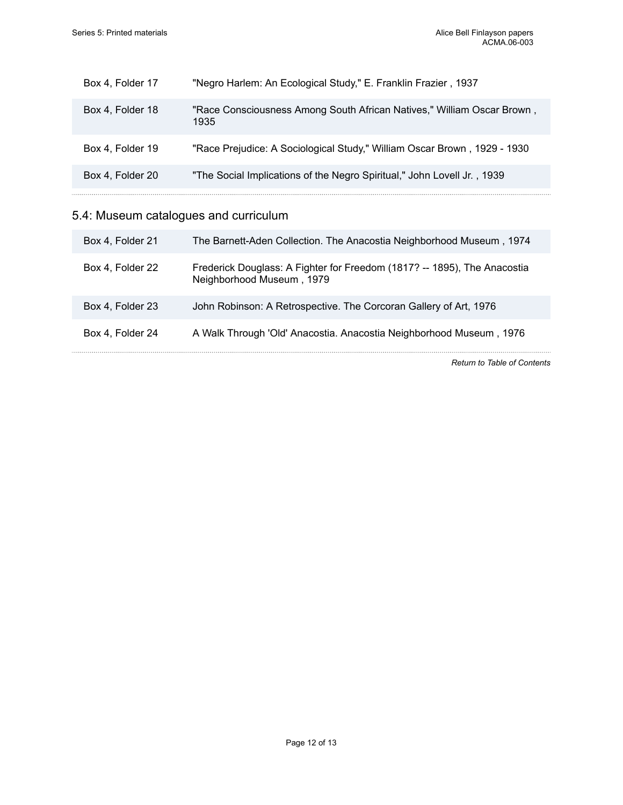| Box 4, Folder 17 | "Negro Harlem: An Ecological Study," E. Franklin Frazier, 1937                 |
|------------------|--------------------------------------------------------------------------------|
| Box 4, Folder 18 | "Race Consciousness Among South African Natives," William Oscar Brown,<br>1935 |
| Box 4, Folder 19 | "Race Prejudice: A Sociological Study," William Oscar Brown, 1929 - 1930       |
| Box 4, Folder 20 | "The Social Implications of the Negro Spiritual," John Lovell Jr., 1939        |
|                  |                                                                                |

## 5.4: Museum catalogues and curriculum

| Box 4, Folder 21 | The Barnett-Aden Collection. The Anacostia Neighborhood Museum, 1974                                  |
|------------------|-------------------------------------------------------------------------------------------------------|
| Box 4, Folder 22 | Frederick Douglass: A Fighter for Freedom (1817? -- 1895), The Anacostia<br>Neighborhood Museum, 1979 |
| Box 4, Folder 23 | John Robinson: A Retrospective. The Corcoran Gallery of Art, 1976                                     |
| Box 4, Folder 24 | A Walk Through 'Old' Anacostia. Anacostia Neighborhood Museum, 1976                                   |